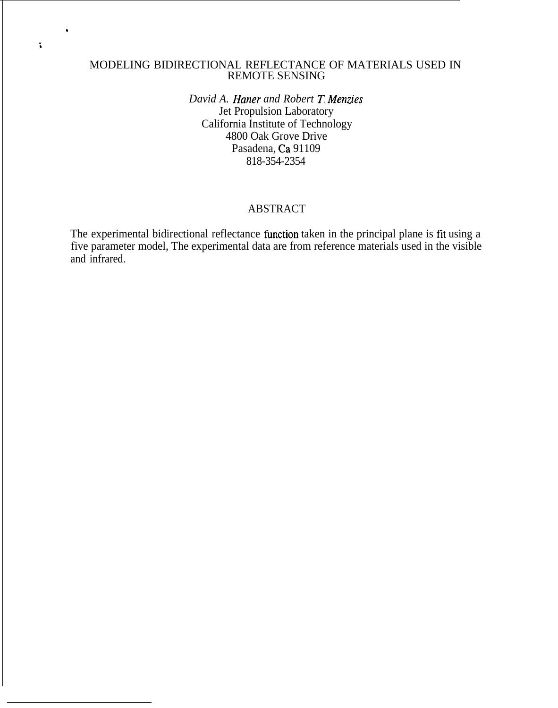## MODELING BIDIRECTIONAL REFLECTANCE OF MATERIALS USED IN REMOTE SENSING

,

;

*David A. Haner and Robert T. Menzies* Jet Propulsion Laboratory California Institute of Technology 4800 Oak Grove Drive Pasadena, Ca 91109 818-354-2354

## ABSTRACT

The experimental bidirectional reflectance function taken in the principal plane is fit using a five parameter model, The experimental data are from reference materials used in the visible and infrared.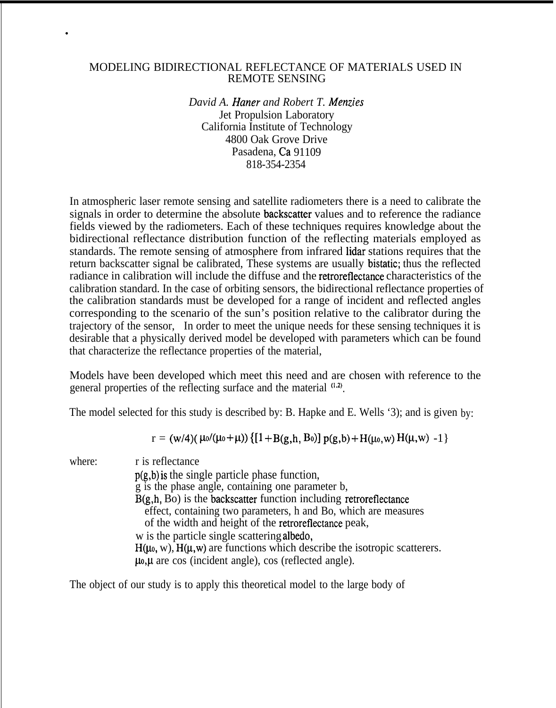#### MODELING BIDIRECTIONAL REFLECTANCE OF MATERIALS USED IN REMOTE SENSING

.

*David A. Haner and Robert T. Menzies* Jet Propulsion Laboratory California Institute of Technology 4800 Oak Grove Drive Pasadena, Ca 91109 818-354-2354

In atmospheric laser remote sensing and satellite radiometers there is a need to calibrate the signals in order to determine the absolute backscatter values and to reference the radiance fields viewed by the radiometers. Each of these techniques requires knowledge about the bidirectional reflectance distribution function of the reflecting materials employed as standards. The remote sensing of atmosphere from infrared lidar stations requires that the return backscatter signal be calibrated, These systems are usually bistatic; thus the reflected radiance in calibration will include the diffuse and the retroreflectance characteristics of the calibration standard. In the case of orbiting sensors, the bidirectional reflectance properties of the calibration standards must be developed for a range of incident and reflected angles corresponding to the scenario of the sun's position relative to the calibrator during the trajectory of the sensor, In order to meet the unique needs for these sensing techniques it is desirable that a physically derived model be developed with parameters which can be found that characterize the reflectance properties of the material,

Models have been developed which meet this need and are chosen with reference to the general properties of the reflecting surface and the material  $(1.2)$ .

The model selected for this study is described by: B. Hapke and E. Wells '3); and is given by:

 $r = (w/4)( \mu_0/(\mu_0+\mu)) \{ [1+B(g,h,B_0)] p(g,b)+H(\mu_0,w) H(\mu,w) -1 \}$ 

where: r is reflectance p(g,b) *is* the single particle phase function, g is the phase angle, containing one parameter b, B(g,h, Bo) is the backscatter function including retroreflectance effect, containing two parameters, h and Bo, which are measures of the width and height of the retroreflectance peak, w is the particle single scattering albedo,  $H(\mu_0, w)$ ,  $H(\mu, w)$  are functions which describe the isotropic scatterers.  $\mu_0$ , $\mu$  are cos (incident angle), cos (reflected angle).

The object of our study is to apply this theoretical model to the large body of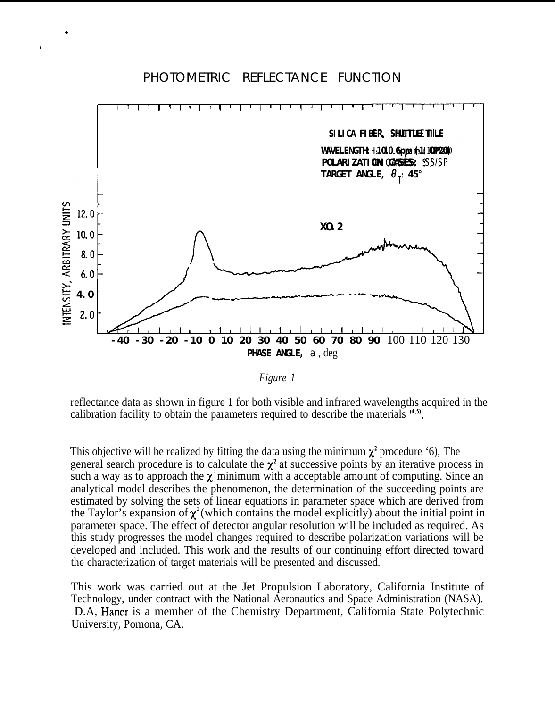# PHOTOMETRIC REFLECTANCE FUNCTION

.

●



*Figure 1*

reflectance data as shown in figure 1 for both visible and infrared wavelengths acquired in the calibration facility to obtain the parameters required to describe the materials  $(4.5)$ .

This objective will be realized by fitting the data using the minimum  $\chi^2$  procedure '6), The general search procedure is to calculate the  $\chi^2$  at successive points by an iterative process in such a way as to approach the  $\chi^2$  minimum with a acceptable amount of computing. Since an analytical model describes the phenomenon, the determination of the succeeding points are estimated by solving the sets of linear equations in parameter space which are derived from the Taylor's expansion of  $\chi^2$  (which contains the model explicitly) about the initial point in parameter space. The effect of detector angular resolution will be included as required. As this study progresses the model changes required to describe polarization variations will be developed and included. This work and the results of our continuing effort directed toward the characterization of target materials will be presented and discussed.

This work was carried out at the Jet Propulsion Laboratory, California Institute of Technology, under contract with the National Aeronautics and Space Administration (NASA). D.A, Haner is a member of the Chemistry Department, California State Polytechnic University, Pomona, CA.